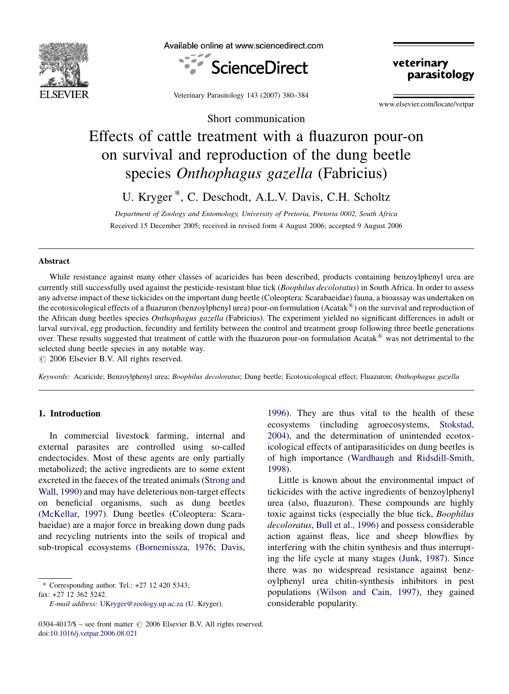

Available online at www.sciencedirect.com



Veterinary Parasitology 143 (2007) 380–384

www.elsevier.com/locate/vetpar

parasitology

veterinary

# Effects of cattle treatment with a fluazuron pour-on on survival and reproduction of the dung beetle species Onthophagus gazella (Fabricius)

Short communication

U. Kryger \*, C. Deschodt, A.L.V. Davis, C.H. Scholtz

Department of Zoology and Entomology, University of Pretoria, Pretoria 0002, South Africa Received 15 December 2005; received in revised form 4 August 2006; accepted 9 August 2006

## Abstract

While resistance against many other classes of acaricides has been described, products containing benzoylphenyl urea are currently still successfully used against the pesticide-resistant blue tick (Boophilus decoloratus) in South Africa. In order to assess any adverse impact of these tickicides on the important dung beetle (Coleoptera: Scarabaeidae) fauna, a bioassay was undertaken on the ecotoxicological effects of a fluazuron (benzoylphenyl urea) pour-on formulation (Acatak $^{(8)}$ ) on the survival and reproduction of the African dung beetles species Onthophagus gazella (Fabricius). The experiment yielded no significant differences in adult or larval survival, egg production, fecundity and fertility between the control and treatment group following three beetle generations over. These results suggested that treatment of cattle with the fluazuron pour-on formulation Acatak $\mathbb{R}$  was not detrimental to the selected dung beetle species in any notable way.

 $\odot$  2006 Elsevier B.V. All rights reserved.

Keywords: Acaricide; Benzoylphenyl urea; Boophilus decoloratus; Dung beetle; Ecotoxicological effect; Fluazuron; Onthophagus gazella

## 1. Introduction

In commercial livestock farming, internal and external parasites are controlled using so-called endectocides. Most of these agents are only partially metabolized; the active ingredients are to some extent excreted in the faeces of the treated animals [\(Strong and](#page-4-0) [Wall, 1990\)](#page-4-0) and may have deleterious non-target effects on beneficial organisms, such as dung beetles [\(McKellar, 1997](#page-4-0)). Dung beetles (Coleoptera: Scarabaeidae) are a major force in breaking down dung pads and recycling nutrients into the soils of tropical and sub-tropical ecosystems ([Bornemissza, 1976; Davis,](#page-4-0)

\* Corresponding author. Tel.: +27 12 420 5343; fax: +27 12 362 5242.

[1996](#page-4-0)). They are thus vital to the health of these ecosystems (including agroecosystems, [Stokstad,](#page-4-0) [2004](#page-4-0)), and the determination of unintended ecotoxicological effects of antiparasiticides on dung beetles is of high importance ([Wardhaugh and Ridsdill-Smith,](#page-4-0) [1998](#page-4-0)).

Little is known about the environmental impact of tickicides with the active ingredients of benzoylphenyl urea (also, fluazuron). These compounds are highly toxic against ticks (especially the blue tick, Boophilus decoloratus, [Bull et al., 1996](#page-4-0)) and possess considerable action against fleas, lice and sheep blowflies by interfering with the chitin synthesis and thus interrupting the life cycle at many stages [\(Junk, 1987](#page-4-0)). Since there was no widespread resistance against benzoylphenyl urea chitin-synthesis inhibitors in pest populations [\(Wilson and Cain, 1997](#page-4-0)), they gained considerable popularity.

E-mail address: [UKryger@zoology.up.ac.za](mailto:UKryger@zoology.up.ac.za) (U. Kryger).

<sup>0304-4017/\$ –</sup> see front matter  $\odot$  2006 Elsevier B.V. All rights reserved. doi:[10.1016/j.vetpar.2006.08.021](http://dx.doi.org/10.1016/j.vetpar.2006.08.021)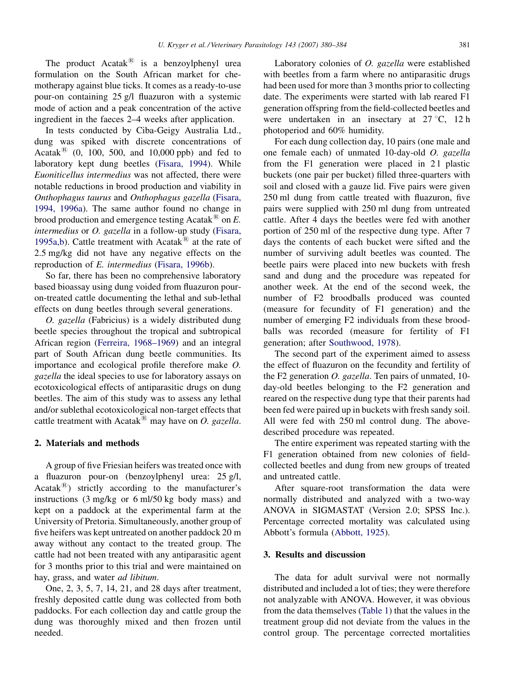The product  $Acatak^{\circledR}$  is a benzoylphenyl urea formulation on the South African market for chemotherapy against blue ticks. It comes as a ready-to-use pour-on containing 25 g/l fluazuron with a systemic mode of action and a peak concentration of the active ingredient in the faeces 2–4 weeks after application.

In tests conducted by Ciba-Geigy Australia Ltd., dung was spiked with discrete concentrations of Acatak<sup>®</sup> (0, 100, 500, and 10,000 ppb) and fed to laboratory kept dung beetles [\(Fisara, 1994\)](#page-4-0). While Euoniticellus intermedius was not affected, there were notable reductions in brood production and viability in Onthophagus taurus and Onthophagus gazella [\(Fisara,](#page-4-0) [1994, 1996a](#page-4-0)). The same author found no change in brood production and emergence testing Acatak $^{(8)}$  on E. intermedius or O. gazella in a follow-up study [\(Fisara,](#page-4-0) [1995a,b\)](#page-4-0). Cattle treatment with Acatak $\overline{B}$  at the rate of 2.5 mg/kg did not have any negative effects on the reproduction of E. intermedius ([Fisara, 1996b\)](#page-4-0).

So far, there has been no comprehensive laboratory based bioassay using dung voided from fluazuron pouron-treated cattle documenting the lethal and sub-lethal effects on dung beetles through several generations.

O. gazella (Fabricius) is a widely distributed dung beetle species throughout the tropical and subtropical African region [\(Ferreira, 1968–1969\)](#page-4-0) and an integral part of South African dung beetle communities. Its importance and ecological profile therefore make O. gazella the ideal species to use for laboratory assays on ecotoxicological effects of antiparasitic drugs on dung beetles. The aim of this study was to assess any lethal and/or sublethal ecotoxicological non-target effects that cattle treatment with Acatak $\overline{B}$  may have on O. gazella.

# 2. Materials and methods

A group of five Friesian heifers was treated once with a fluazuron pour-on (benzoylphenyl urea: 25 g/l, Acatak $^{(8)}$ ) strictly according to the manufacturer's instructions (3 mg/kg or 6 ml/50 kg body mass) and kept on a paddock at the experimental farm at the University of Pretoria. Simultaneously, another group of five heifers was kept untreated on another paddock 20 m away without any contact to the treated group. The cattle had not been treated with any antiparasitic agent for 3 months prior to this trial and were maintained on hay, grass, and water ad libitum.

One, 2, 3, 5, 7, 14, 21, and 28 days after treatment, freshly deposited cattle dung was collected from both paddocks. For each collection day and cattle group the dung was thoroughly mixed and then frozen until needed.

Laboratory colonies of O. gazella were established with beetles from a farm where no antiparasitic drugs had been used for more than 3 months prior to collecting date. The experiments were started with lab reared F1 generation offspring from the field-collected beetles and were undertaken in an insectary at  $27^{\circ}$ C, 12 h photoperiod and 60% humidity.

For each dung collection day, 10 pairs (one male and one female each) of unmated 10-day-old O. gazella from the F1 generation were placed in 21 plastic buckets (one pair per bucket) filled three-quarters with soil and closed with a gauze lid. Five pairs were given 250 ml dung from cattle treated with fluazuron, five pairs were supplied with 250 ml dung from untreated cattle. After 4 days the beetles were fed with another portion of 250 ml of the respective dung type. After 7 days the contents of each bucket were sifted and the number of surviving adult beetles was counted. The beetle pairs were placed into new buckets with fresh sand and dung and the procedure was repeated for another week. At the end of the second week, the number of F2 broodballs produced was counted (measure for fecundity of F1 generation) and the number of emerging F2 individuals from these broodballs was recorded (measure for fertility of F1 generation; after [Southwood, 1978](#page-4-0)).

The second part of the experiment aimed to assess the effect of fluazuron on the fecundity and fertility of the F2 generation *O. gazella*. Ten pairs of unmated,  $10$ day-old beetles belonging to the F2 generation and reared on the respective dung type that their parents had been fed were paired up in buckets with fresh sandy soil. All were fed with 250 ml control dung. The abovedescribed procedure was repeated.

The entire experiment was repeated starting with the F1 generation obtained from new colonies of fieldcollected beetles and dung from new groups of treated and untreated cattle.

After square-root transformation the data were normally distributed and analyzed with a two-way ANOVA in SIGMASTAT (Version 2.0; SPSS Inc.). Percentage corrected mortality was calculated using Abbott's formula [\(Abbott, 1925\)](#page-3-0).

## 3. Results and discussion

The data for adult survival were not normally distributed and included a lot of ties; they were therefore not analyzable with ANOVA. However, it was obvious from the data themselves ([Table 1](#page-2-0)) that the values in the treatment group did not deviate from the values in the control group. The percentage corrected mortalities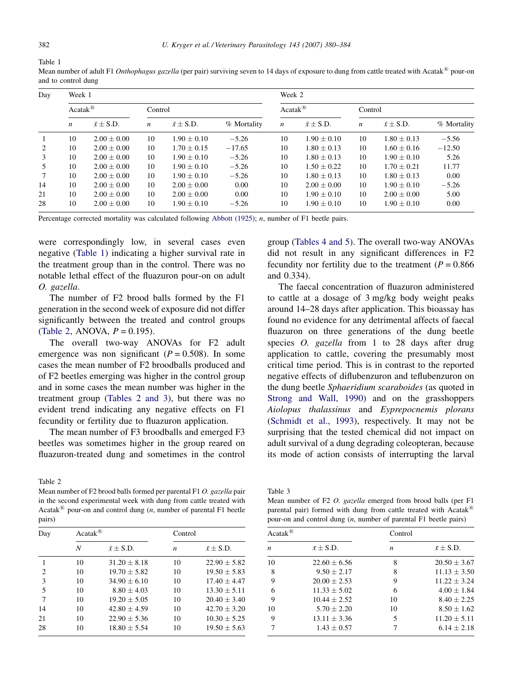<span id="page-2-0"></span>Table 1

Mean number of adult F1 Onthophagus gazella (per pair) surviving seven to 14 days of exposure to dung from cattle treated with Acatak® pour-on and to control dung

| Day | Week 1               |                    |         |                    |                      | Week 2           |                    |                  |                    |             |
|-----|----------------------|--------------------|---------|--------------------|----------------------|------------------|--------------------|------------------|--------------------|-------------|
|     | $Acatak^{\circledR}$ |                    | Control |                    | $Acatak^{\circledR}$ |                  | Control            |                  |                    |             |
|     | $\boldsymbol{n}$     | $\bar{x} \pm$ S.D. | n       | $\bar{x} \pm$ S.D. | % Mortality          | $\boldsymbol{n}$ | $\bar{x} \pm$ S.D. | $\boldsymbol{n}$ | $\bar{x} \pm$ S.D. | % Mortality |
|     | 10                   | $2.00 \pm 0.00$    | 10      | $1.90 + 0.10$      | $-5.26$              | 10               | $1.90 + 0.10$      | 10               | $1.80 + 0.13$      | $-5.56$     |
| 2.  | 10                   | $2.00 \pm 0.00$    | 10      | $1.70 + 0.15$      | $-17.65$             | 10               | $1.80 \pm 0.13$    | 10               | $1.60 \pm 0.16$    | $-12.50$    |
| 3   | 10                   | $2.00 + 0.00$      | 10      | $1.90 + 0.10$      | $-5.26$              | 10               | $1.80 + 0.13$      | 10               | $1.90 + 0.10$      | 5.26        |
|     | 10                   | $2.00 \pm 0.00$    | 10      | $1.90 + 0.10$      | $-5.26$              | 10               | $1.50 + 0.22$      | 10               | $1.70 + 0.21$      | 11.77       |
|     | 10                   | $2.00 + 0.00$      | 10      | $1.90 + 0.10$      | $-5.26$              | 10               | $1.80 + 0.13$      | 10               | $1.80 + 0.13$      | 0.00        |
| 14  | 10                   | $2.00 + 0.00$      | 10      | $2.00 + 0.00$      | 0.00                 | 10               | $2.00 + 0.00$      | 10               | $1.90 + 0.10$      | $-5.26$     |
| 21  | 10                   | $2.00 + 0.00$      | 10      | $2.00 + 0.00$      | 0.00                 | 10               | $1.90 + 0.10$      | 10               | $2.00 + 0.00$      | 5.00        |
| 28  | 10                   | $2.00 \pm 0.00$    | 10      | $1.90 \pm 0.10$    | $-5.26$              | 10               | $1.90 \pm 0.10$    | 10               | $1.90 \pm 0.10$    | 0.00        |

Percentage corrected mortality was calculated following [Abbott \(1925\);](#page-3-0) *n*, number of F1 beetle pairs.

were correspondingly low, in several cases even negative (Table 1) indicating a higher survival rate in the treatment group than in the control. There was no notable lethal effect of the fluazuron pour-on on adult O. gazella.

The number of F2 brood balls formed by the F1 generation in the second week of exposure did not differ significantly between the treated and control groups (Table 2, ANOVA,  $P = 0.195$ ).

The overall two-way ANOVAs for F2 adult emergence was non significant ( $P = 0.508$ ). In some cases the mean number of F2 broodballs produced and of F2 beetles emerging was higher in the control group and in some cases the mean number was higher in the treatment group (Tables 2 and 3), but there was no evident trend indicating any negative effects on F1 fecundity or fertility due to fluazuron application.

The mean number of F3 broodballs and emerged F3 beetles was sometimes higher in the group reared on fluazuron-treated dung and sometimes in the control

Table 2

Mean number of F2 brood balls formed per parental F1 O. gazella pair in the second experimental week with dung from cattle treated with Acatak<sup> $48$ </sup> pour-on and control dung (*n*, number of parental F1 beetle pairs)

| Day            | Acatak $^{\circledR}$ |                    | Control |                    |  |
|----------------|-----------------------|--------------------|---------|--------------------|--|
|                | N                     | $\bar{x} \pm$ S.D. | n       | $\bar{x} \pm$ S.D. |  |
|                | 10                    | $31.20 \pm 8.18$   | 10      | $22.90 \pm 5.82$   |  |
| $\overline{2}$ | 10                    | $19.70 \pm 5.82$   | 10      | $19.50 \pm 5.83$   |  |
| 3              | 10                    | $34.90 \pm 6.10$   | 10      | $17.40 + 4.47$     |  |
| 5              | 10                    | $8.80 \pm 4.03$    | 10      | $13.30 \pm 5.11$   |  |
| 7              | 10                    | $19.20 \pm 5.05$   | 10      | $20.40 \pm 3.40$   |  |
| 14             | 10                    | $42.80 \pm 4.59$   | 10      | $42.70 \pm 3.20$   |  |
| 21             | 10                    | $22.90 \pm 5.36$   | 10      | $10.30 \pm 5.25$   |  |
| 28             | 10                    | $18.80 \pm 5.54$   | 10      | $19.50 \pm 5.63$   |  |

group ([Tables 4 and 5](#page-3-0)). The overall two-way ANOVAs did not result in any significant differences in F2 fecundity nor fertility due to the treatment ( $P = 0.866$ ) and 0.334).

The faecal concentration of fluazuron administered to cattle at a dosage of 3 mg/kg body weight peaks around 14–28 days after application. This bioassay has found no evidence for any detrimental affects of faecal fluazuron on three generations of the dung beetle species *O. gazella* from 1 to 28 days after drug application to cattle, covering the presumably most critical time period. This is in contrast to the reported negative effects of diflubenzuron and teflubenzuron on the dung beetle Sphaeridium scaraboides (as quoted in [Strong and Wall, 1990\)](#page-4-0) and on the grasshoppers Aiolopus thalassinus and Eyprepocnemis plorans ([Schmidt et al., 1993\)](#page-4-0), respectively. It may not be surprising that the tested chemical did not impact on adult survival of a dung degrading coleopteran, because its mode of action consists of interrupting the larval

Table 3

Mean number of F2 O. gazella emerged from brood balls (per F1 parental pair) formed with dung from cattle treated with Acatak $48$ pour-on and control dung (n, number of parental F1 beetle pairs)

| Acatak <sup>®</sup> |                    | Control |                    |  |
|---------------------|--------------------|---------|--------------------|--|
| n                   | $\bar{x} \pm$ S.D. | n       | $\bar{x} \pm$ S.D. |  |
| 10                  | $22.60 \pm 6.56$   | 8       | $20.50 \pm 3.67$   |  |
| 8                   | $9.50 \pm 2.17$    | 8       | $11.13 \pm 3.50$   |  |
| 9                   | $20.00 \pm 2.53$   | 9       | $11.22 + 3.24$     |  |
| 6                   | $11.33 + 5.02$     | 6       | $4.00 \pm 1.84$    |  |
| 9                   | $10.44 + 2.52$     | 10      | $8.40 \pm 2.25$    |  |
| 10                  | $5.70 \pm 2.20$    | 10      | $8.50 \pm 1.62$    |  |
| 9                   | $13.11 \pm 3.36$   | 5       | $11.20 \pm 5.11$   |  |
|                     | $1.43 \pm 0.57$    |         | $6.14 + 2.18$      |  |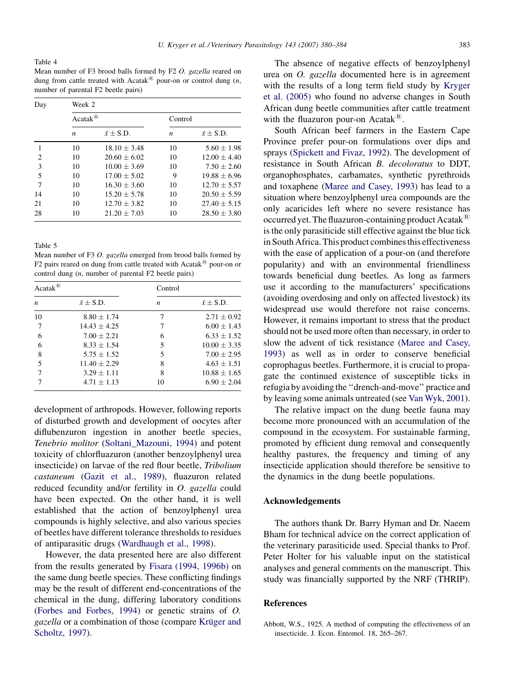<span id="page-3-0"></span>Table 4

Mean number of F3 brood balls formed by F2 O. gazella reared on dung from cattle treated with Acatak<sup>®</sup> pour-on or control dung  $(n,$ number of parental F2 beetle pairs)

| Day            | Week 2                                               |                    |         |                    |  |  |
|----------------|------------------------------------------------------|--------------------|---------|--------------------|--|--|
|                | $\mathbf{Acatak}^{\scriptsize\textcircled{\tiny R}}$ |                    | Control |                    |  |  |
|                | $\boldsymbol{n}$                                     | $\bar{x} \pm$ S.D. | n       | $\bar{x} \pm$ S.D. |  |  |
|                | 10                                                   | $18.10 \pm 3.48$   | 10      | $5.60 \pm 1.98$    |  |  |
| $\overline{c}$ | 10                                                   | $20.60 \pm 6.02$   | 10      | $12.00 + 4.40$     |  |  |
| 3              | 10                                                   | $10.00 \pm 3.69$   | 10      | $7.50 + 2.60$      |  |  |
| 5              | 10                                                   | $17.00 \pm 5.02$   | 9       | $19.88 \pm 6.96$   |  |  |
| 7              | 10                                                   | $16.30 + 3.60$     | 10      | $12.70 \pm 5.57$   |  |  |
| 14             | 10                                                   | $15.20 + 5.78$     | 10      | $20.50 \pm 5.59$   |  |  |
| 21             | 10                                                   | $12.70 + 3.82$     | 10      | $27.40 + 5.15$     |  |  |
| 28             | 10                                                   | $21.20 \pm 7.03$   | 10      | $28.50 \pm 3.80$   |  |  |

Table 5

Mean number of F3 O. gazella emerged from brood balls formed by F2 pairs reared on dung from cattle treated with Acatak<sup>®</sup> pour-on or control dung  $(n,$  number of parental F2 beetle pairs)

| $Acatak^{\circledR}$ |                    | Control          |                    |
|----------------------|--------------------|------------------|--------------------|
| $\boldsymbol{n}$     | $\bar{x} \pm$ S.D. | $\boldsymbol{n}$ | $\bar{x} \pm$ S.D. |
| 10                   | $8.80 \pm 1.74$    |                  | $2.71 \pm 0.92$    |
|                      | $14.43 \pm 4.25$   |                  | $6.00 \pm 1.43$    |
| 6                    | $7.00 \pm 2.21$    | 6                | $6.33 \pm 1.52$    |
| 6                    | $8.33 + 1.54$      | 5                | $10.00 \pm 3.35$   |
| 8                    | $5.75 \pm 1.52$    | 5                | $7.00 \pm 2.95$    |
| 5                    | $11.40 \pm 2.29$   | 8                | $4.63 \pm 1.51$    |
|                      | $3.29 \pm 1.11$    | 8                | $10.88 \pm 1.65$   |
|                      | $4.71 \pm 1.13$    | 10               | $6.90 \pm 2.04$    |

development of arthropods. However, following reports of disturbed growth and development of oocytes after diflubenzuron ingestion in another beetle species, Tenebrio molitor [\(Soltani\\_Mazouni, 1994\)](#page-4-0) and potent toxicity of chlorfluazuron (another benzoylphenyl urea insecticide) on larvae of the red flour beetle, Tribolium castaneum [\(Gazit et al., 1989\)](#page-4-0), fluazuron related reduced fecundity and/or fertility in O. gazella could have been expected. On the other hand, it is well established that the action of benzoylphenyl urea compounds is highly selective, and also various species of beetles have different tolerance thresholds to residues of antiparasitic drugs ([Wardhaugh et al., 1998](#page-4-0)).

However, the data presented here are also different from the results generated by [Fisara \(1994, 1996b\)](#page-4-0) on the same dung beetle species. These conflicting findings may be the result of different end-concentrations of the chemical in the dung, differing laboratory conditions [\(Forbes and Forbes, 1994](#page-4-0)) or genetic strains of O. gazella or a combination of those (compare Krüger and [Scholtz, 1997\)](#page-4-0).

The absence of negative effects of benzoylphenyl urea on O. gazella documented here is in agreement with the results of a long term field study by [Kryger](#page-4-0) [et al. \(2005\)](#page-4-0) who found no adverse changes in South African dung beetle communities after cattle treatment with the fluazuron pour-on Acatak $^{\circledR}$ .

South African beef farmers in the Eastern Cape Province prefer pour-on formulations over dips and sprays ([Spickett and Fivaz, 1992](#page-4-0)). The development of resistance in South African B. decoloratus to DDT, organophosphates, carbamates, synthetic pyrethroids and toxaphene ([Maree and Casey, 1993\)](#page-4-0) has lead to a situation where benzoylphenyl urea compounds are the only acaricides left where no severe resistance has occurred yet. The fluazuron-containing product  $Acatak^{(8)}$ is the only parasiticide still effective against the blue tick in South Africa. This product combines this effectiveness with the ease of application of a pour-on (and therefore popularity) and with an environmental friendliness towards beneficial dung beetles. As long as farmers use it according to the manufacturers' specifications (avoiding overdosing and only on affected livestock) its widespread use would therefore not raise concerns. However, it remains important to stress that the product should not be used more often than necessary, in order to slow the advent of tick resistance [\(Maree and Casey,](#page-4-0) [1993\)](#page-4-0) as well as in order to conserve beneficial coprophagus beetles. Furthermore, it is crucial to propagate the continued existence of susceptible ticks in refugia by avoidingthe ''drench-and-move'' practice and by leaving some animals untreated (see [Van Wyk, 2001](#page-4-0)).

The relative impact on the dung beetle fauna may become more pronounced with an accumulation of the compound in the ecosystem. For sustainable farming, promoted by efficient dung removal and consequently healthy pastures, the frequency and timing of any insecticide application should therefore be sensitive to the dynamics in the dung beetle populations.

#### Acknowledgements

The authors thank Dr. Barry Hyman and Dr. Naeem Bham for technical advice on the correct application of the veterinary parasiticide used. Special thanks to Prof. Peter Holter for his valuable input on the statistical analyses and general comments on the manuscript. This study was financially supported by the NRF (THRIP).

## References

Abbott, W.S., 1925. A method of computing the effectiveness of an insecticide. J. Econ. Entomol. 18, 265–267.